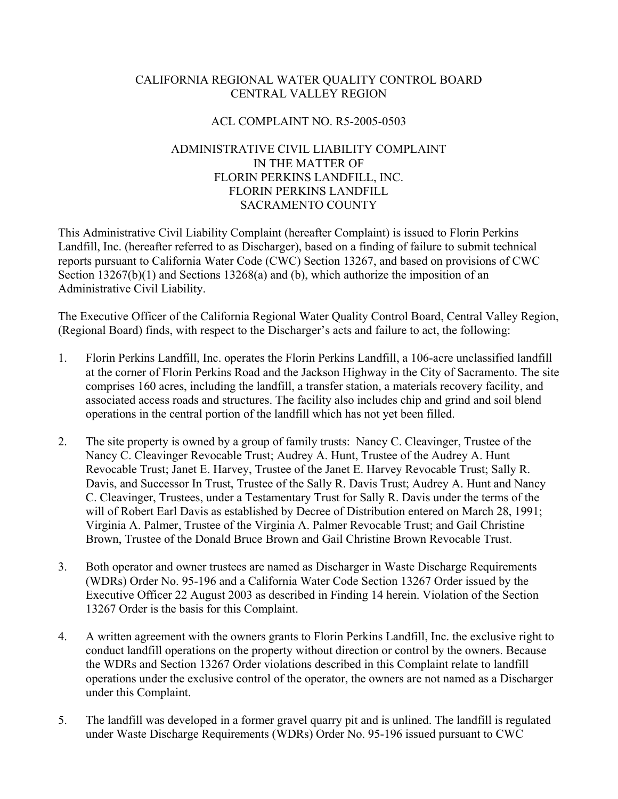## CALIFORNIA REGIONAL WATER QUALITY CONTROL BOARD CENTRAL VALLEY REGION

# ACL COMPLAINT NO. R5-2005-0503

# ADMINISTRATIVE CIVIL LIABILITY COMPLAINT IN THE MATTER OF FLORIN PERKINS LANDFILL, INC. FLORIN PERKINS LANDFILL SACRAMENTO COUNTY

This Administrative Civil Liability Complaint (hereafter Complaint) is issued to Florin Perkins Landfill, Inc. (hereafter referred to as Discharger), based on a finding of failure to submit technical reports pursuant to California Water Code (CWC) Section 13267, and based on provisions of CWC Section  $13267(b)(1)$  and Sections  $13268(a)$  and (b), which authorize the imposition of an Administrative Civil Liability.

The Executive Officer of the California Regional Water Quality Control Board, Central Valley Region, (Regional Board) finds, with respect to the Discharger's acts and failure to act, the following:

- 1. Florin Perkins Landfill, Inc. operates the Florin Perkins Landfill, a 106-acre unclassified landfill at the corner of Florin Perkins Road and the Jackson Highway in the City of Sacramento. The site comprises 160 acres, including the landfill, a transfer station, a materials recovery facility, and associated access roads and structures. The facility also includes chip and grind and soil blend operations in the central portion of the landfill which has not yet been filled.
- 2. The site property is owned by a group of family trusts: Nancy C. Cleavinger, Trustee of the Nancy C. Cleavinger Revocable Trust; Audrey A. Hunt, Trustee of the Audrey A. Hunt Revocable Trust; Janet E. Harvey, Trustee of the Janet E. Harvey Revocable Trust; Sally R. Davis, and Successor In Trust, Trustee of the Sally R. Davis Trust; Audrey A. Hunt and Nancy C. Cleavinger, Trustees, under a Testamentary Trust for Sally R. Davis under the terms of the will of Robert Earl Davis as established by Decree of Distribution entered on March 28, 1991; Virginia A. Palmer, Trustee of the Virginia A. Palmer Revocable Trust; and Gail Christine Brown, Trustee of the Donald Bruce Brown and Gail Christine Brown Revocable Trust.
- 3. Both operator and owner trustees are named as Discharger in Waste Discharge Requirements (WDRs) Order No. 95-196 and a California Water Code Section 13267 Order issued by the Executive Officer 22 August 2003 as described in Finding 14 herein. Violation of the Section 13267 Order is the basis for this Complaint.
- 4. A written agreement with the owners grants to Florin Perkins Landfill, Inc. the exclusive right to conduct landfill operations on the property without direction or control by the owners. Because the WDRs and Section 13267 Order violations described in this Complaint relate to landfill operations under the exclusive control of the operator, the owners are not named as a Discharger under this Complaint.
- 5. The landfill was developed in a former gravel quarry pit and is unlined. The landfill is regulated under Waste Discharge Requirements (WDRs) Order No. 95-196 issued pursuant to CWC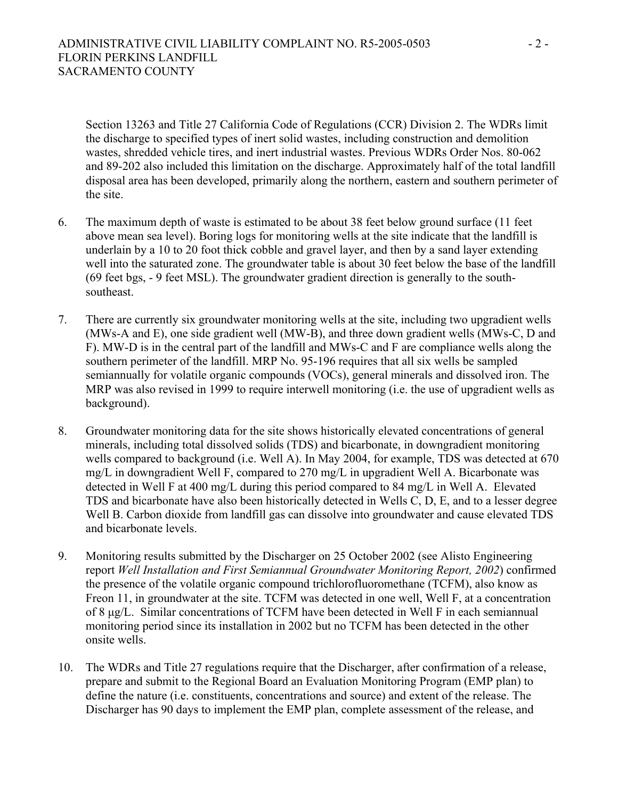Section 13263 and Title 27 California Code of Regulations (CCR) Division 2. The WDRs limit the discharge to specified types of inert solid wastes, including construction and demolition wastes, shredded vehicle tires, and inert industrial wastes. Previous WDRs Order Nos. 80-062 and 89-202 also included this limitation on the discharge. Approximately half of the total landfill disposal area has been developed, primarily along the northern, eastern and southern perimeter of the site.

- 6. The maximum depth of waste is estimated to be about 38 feet below ground surface (11 feet above mean sea level). Boring logs for monitoring wells at the site indicate that the landfill is underlain by a 10 to 20 foot thick cobble and gravel layer, and then by a sand layer extending well into the saturated zone. The groundwater table is about 30 feet below the base of the landfill (69 feet bgs, - 9 feet MSL). The groundwater gradient direction is generally to the southsoutheast.
- 7. There are currently six groundwater monitoring wells at the site, including two upgradient wells (MWs-A and E), one side gradient well (MW-B), and three down gradient wells (MWs-C, D and F). MW-D is in the central part of the landfill and MWs-C and F are compliance wells along the southern perimeter of the landfill. MRP No. 95-196 requires that all six wells be sampled semiannually for volatile organic compounds (VOCs), general minerals and dissolved iron. The MRP was also revised in 1999 to require interwell monitoring (i.e. the use of upgradient wells as background).
- 8. Groundwater monitoring data for the site shows historically elevated concentrations of general minerals, including total dissolved solids (TDS) and bicarbonate, in downgradient monitoring wells compared to background (i.e. Well A). In May 2004, for example, TDS was detected at 670 mg/L in downgradient Well F, compared to 270 mg/L in upgradient Well A. Bicarbonate was detected in Well F at 400 mg/L during this period compared to 84 mg/L in Well A. Elevated TDS and bicarbonate have also been historically detected in Wells C, D, E, and to a lesser degree Well B. Carbon dioxide from landfill gas can dissolve into groundwater and cause elevated TDS and bicarbonate levels.
- 9. Monitoring results submitted by the Discharger on 25 October 2002 (see Alisto Engineering report *Well Installation and First Semiannual Groundwater Monitoring Report, 2002*) confirmed the presence of the volatile organic compound trichlorofluoromethane (TCFM), also know as Freon 11, in groundwater at the site. TCFM was detected in one well, Well F, at a concentration of 8 µg/L. Similar concentrations of TCFM have been detected in Well F in each semiannual monitoring period since its installation in 2002 but no TCFM has been detected in the other onsite wells.
- 10. The WDRs and Title 27 regulations require that the Discharger, after confirmation of a release, prepare and submit to the Regional Board an Evaluation Monitoring Program (EMP plan) to define the nature (i.e. constituents, concentrations and source) and extent of the release. The Discharger has 90 days to implement the EMP plan, complete assessment of the release, and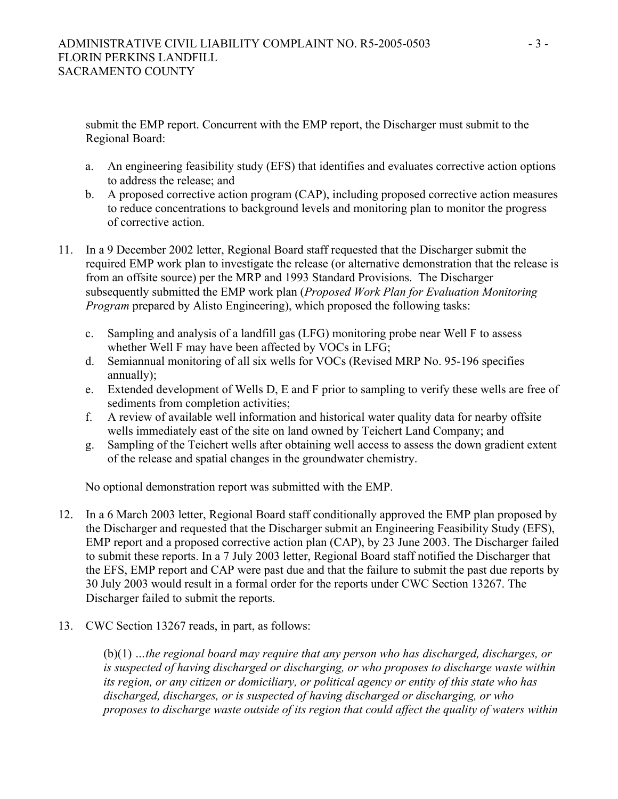submit the EMP report. Concurrent with the EMP report, the Discharger must submit to the Regional Board:

- a. An engineering feasibility study (EFS) that identifies and evaluates corrective action options to address the release; and
- b. A proposed corrective action program (CAP), including proposed corrective action measures to reduce concentrations to background levels and monitoring plan to monitor the progress of corrective action.
- 11. In a 9 December 2002 letter, Regional Board staff requested that the Discharger submit the required EMP work plan to investigate the release (or alternative demonstration that the release is from an offsite source) per the MRP and 1993 Standard Provisions. The Discharger subsequently submitted the EMP work plan (*Proposed Work Plan for Evaluation Monitoring Program* prepared by Alisto Engineering), which proposed the following tasks:
	- c. Sampling and analysis of a landfill gas (LFG) monitoring probe near Well F to assess whether Well F may have been affected by VOCs in LFG;
	- d. Semiannual monitoring of all six wells for VOCs (Revised MRP No. 95-196 specifies annually);
	- e. Extended development of Wells D, E and F prior to sampling to verify these wells are free of sediments from completion activities;
	- f. A review of available well information and historical water quality data for nearby offsite wells immediately east of the site on land owned by Teichert Land Company; and
	- g. Sampling of the Teichert wells after obtaining well access to assess the down gradient extent of the release and spatial changes in the groundwater chemistry.

No optional demonstration report was submitted with the EMP.

- 12. In a 6 March 2003 letter, Regional Board staff conditionally approved the EMP plan proposed by the Discharger and requested that the Discharger submit an Engineering Feasibility Study (EFS), EMP report and a proposed corrective action plan (CAP), by 23 June 2003. The Discharger failed to submit these reports. In a 7 July 2003 letter, Regional Board staff notified the Discharger that the EFS, EMP report and CAP were past due and that the failure to submit the past due reports by 30 July 2003 would result in a formal order for the reports under CWC Section 13267. The Discharger failed to submit the reports.
- 13. CWC Section 13267 reads, in part, as follows:

(b)(1) *…the regional board may require that any person who has discharged, discharges, or is suspected of having discharged or discharging, or who proposes to discharge waste within its region, or any citizen or domiciliary, or political agency or entity of this state who has discharged, discharges, or is suspected of having discharged or discharging, or who proposes to discharge waste outside of its region that could affect the quality of waters within*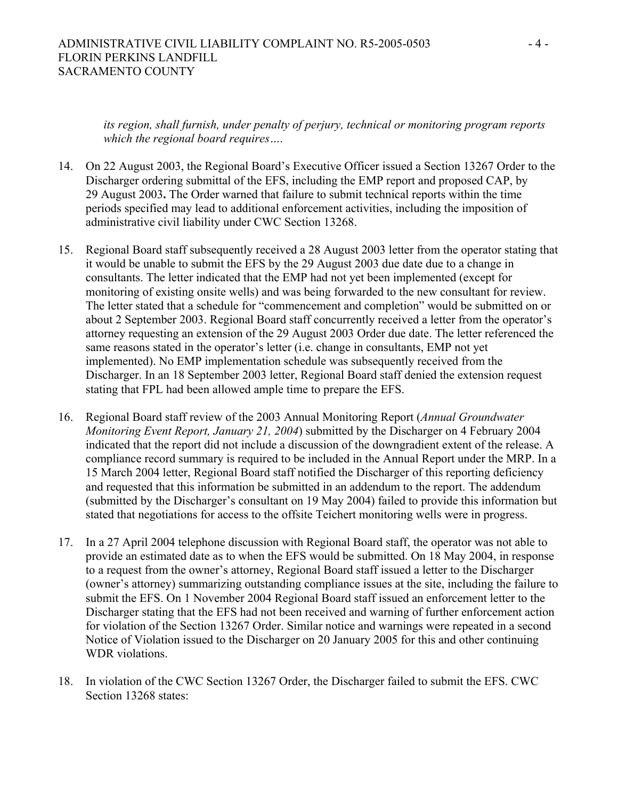#### ADMINISTRATIVE CIVIL LIABILITY COMPLAINT NO. R5-2005-0503 - 4 - FLORIN PERKINS LANDFILL SACRAMENTO COUNTY

*its region, shall furnish, under penalty of perjury, technical or monitoring program reports which the regional board requires….*

- 14. On 22 August 2003, the Regional Board's Executive Officer issued a Section 13267 Order to the Discharger ordering submittal of the EFS, including the EMP report and proposed CAP, by 29 August 2003**.** The Order warned that failure to submit technical reports within the time periods specified may lead to additional enforcement activities, including the imposition of administrative civil liability under CWC Section 13268.
- 15. Regional Board staff subsequently received a 28 August 2003 letter from the operator stating that it would be unable to submit the EFS by the 29 August 2003 due date due to a change in consultants. The letter indicated that the EMP had not yet been implemented (except for monitoring of existing onsite wells) and was being forwarded to the new consultant for review. The letter stated that a schedule for "commencement and completion" would be submitted on or about 2 September 2003. Regional Board staff concurrently received a letter from the operator's attorney requesting an extension of the 29 August 2003 Order due date. The letter referenced the same reasons stated in the operator's letter (i.e. change in consultants, EMP not yet implemented). No EMP implementation schedule was subsequently received from the Discharger. In an 18 September 2003 letter, Regional Board staff denied the extension request stating that FPL had been allowed ample time to prepare the EFS.
- 16. Regional Board staff review of the 2003 Annual Monitoring Report (*Annual Groundwater Monitoring Event Report, January 21, 2004*) submitted by the Discharger on 4 February 2004 indicated that the report did not include a discussion of the downgradient extent of the release. A compliance record summary is required to be included in the Annual Report under the MRP. In a 15 March 2004 letter, Regional Board staff notified the Discharger of this reporting deficiency and requested that this information be submitted in an addendum to the report. The addendum (submitted by the Discharger's consultant on 19 May 2004) failed to provide this information but stated that negotiations for access to the offsite Teichert monitoring wells were in progress.
- 17. In a 27 April 2004 telephone discussion with Regional Board staff, the operator was not able to provide an estimated date as to when the EFS would be submitted. On 18 May 2004, in response to a request from the owner's attorney, Regional Board staff issued a letter to the Discharger (owner's attorney) summarizing outstanding compliance issues at the site, including the failure to submit the EFS. On 1 November 2004 Regional Board staff issued an enforcement letter to the Discharger stating that the EFS had not been received and warning of further enforcement action for violation of the Section 13267 Order. Similar notice and warnings were repeated in a second Notice of Violation issued to the Discharger on 20 January 2005 for this and other continuing WDR violations.
- 18. In violation of the CWC Section 13267 Order, the Discharger failed to submit the EFS. CWC Section 13268 states: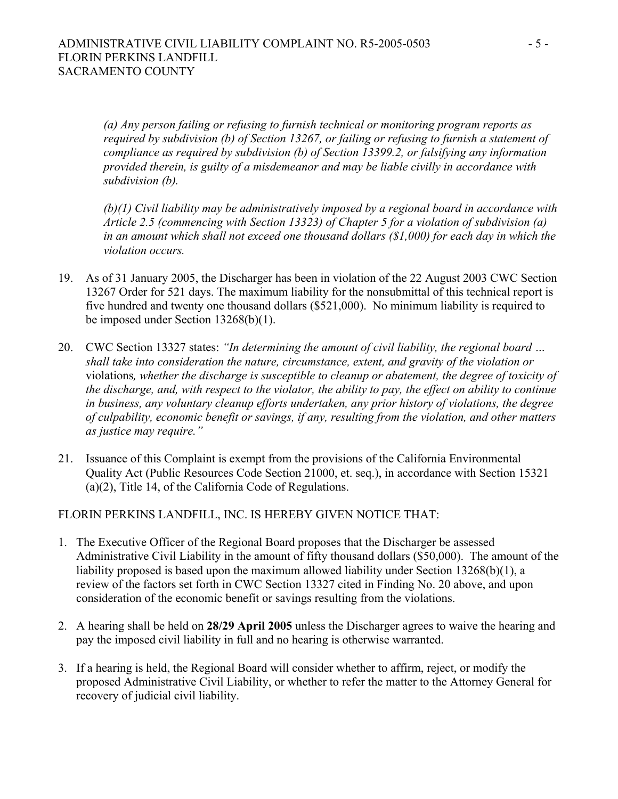*(a) Any person failing or refusing to furnish technical or monitoring program reports as required by subdivision (b) of Section 13267, or failing or refusing to furnish a statement of compliance as required by subdivision (b) of Section 13399.2, or falsifying any information provided therein, is guilty of a misdemeanor and may be liable civilly in accordance with subdivision (b).* 

*(b)(1) Civil liability may be administratively imposed by a regional board in accordance with Article 2.5 (commencing with Section 13323) of Chapter 5 for a violation of subdivision (a) in an amount which shall not exceed one thousand dollars (\$1,000) for each day in which the violation occurs.* 

- 19. As of 31 January 2005, the Discharger has been in violation of the 22 August 2003 CWC Section 13267 Order for 521 days. The maximum liability for the nonsubmittal of this technical report is five hundred and twenty one thousand dollars (\$521,000). No minimum liability is required to be imposed under Section 13268(b)(1).
- 20. CWC Section 13327 states: *"In determining the amount of civil liability, the regional board … shall take into consideration the nature, circumstance, extent, and gravity of the violation or*  violations*, whether the discharge is susceptible to cleanup or abatement, the degree of toxicity of the discharge, and, with respect to the violator, the ability to pay, the effect on ability to continue in business, any voluntary cleanup efforts undertaken, any prior history of violations, the degree of culpability, economic benefit or savings, if any, resulting from the violation, and other matters as justice may require."*
- 21. Issuance of this Complaint is exempt from the provisions of the California Environmental Quality Act (Public Resources Code Section 21000, et. seq.), in accordance with Section 15321 (a)(2), Title 14, of the California Code of Regulations.

FLORIN PERKINS LANDFILL, INC. IS HEREBY GIVEN NOTICE THAT:

- 1. The Executive Officer of the Regional Board proposes that the Discharger be assessed Administrative Civil Liability in the amount of fifty thousand dollars (\$50,000). The amount of the liability proposed is based upon the maximum allowed liability under Section 13268(b)(1), a review of the factors set forth in CWC Section 13327 cited in Finding No. 20 above, and upon consideration of the economic benefit or savings resulting from the violations.
- 2. A hearing shall be held on **28/29 April 2005** unless the Discharger agrees to waive the hearing and pay the imposed civil liability in full and no hearing is otherwise warranted.
- 3. If a hearing is held, the Regional Board will consider whether to affirm, reject, or modify the proposed Administrative Civil Liability, or whether to refer the matter to the Attorney General for recovery of judicial civil liability.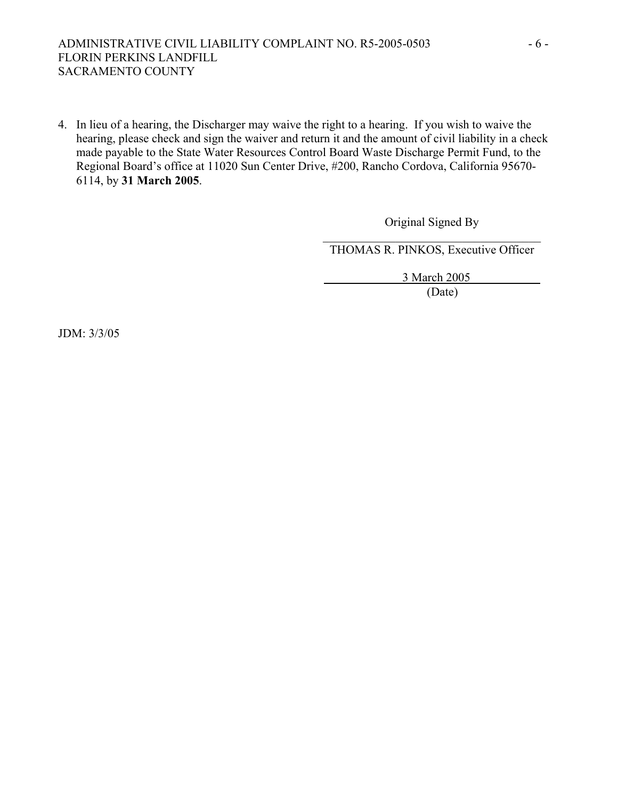## ADMINISTRATIVE CIVIL LIABILITY COMPLAINT NO. R5-2005-0503 - 6 -FLORIN PERKINS LANDFILL SACRAMENTO COUNTY

4. In lieu of a hearing, the Discharger may waive the right to a hearing. If you wish to waive the hearing, please check and sign the waiver and return it and the amount of civil liability in a check made payable to the State Water Resources Control Board Waste Discharge Permit Fund, to the Regional Board's office at 11020 Sun Center Drive, #200, Rancho Cordova, California 95670- 6114, by **31 March 2005**.

> Original Signed By  $\mathcal{L}_\text{max}$  , and the set of the set of the set of the set of the set of the set of the set of the set of the set of the set of the set of the set of the set of the set of the set of the set of the set of the set of the

THOMAS R. PINKOS, Executive Officer

3 March 2005

(Date)

JDM: 3/3/05